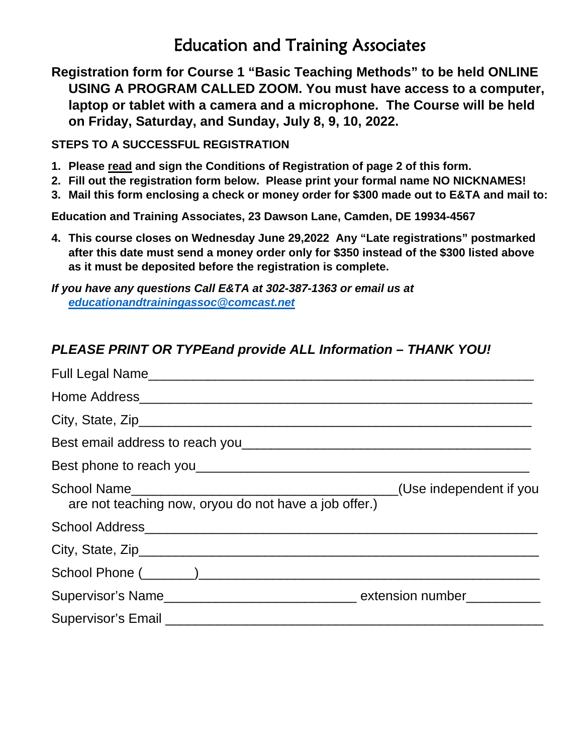## Education and Training Associates

**Registration form for Course 1 "Basic Teaching Methods" to be held ONLINE USING A PROGRAM CALLED ZOOM. You must have access to a computer, laptop or tablet with a camera and a microphone. The Course will be held on Friday, Saturday, and Sunday, July 8, 9, 10, 2022.**

**STEPS TO A SUCCESSFUL REGISTRATION**

- **1. Please read and sign the Conditions of Registration of page 2 of this form.**
- **2. Fill out the registration form below. Please print your formal name NO NICKNAMES!**
- **3. Mail this form enclosing a check or money order for \$300 made out to E&TA and mail to:**

**Education and Training Associates, 23 Dawson Lane, Camden, DE 19934-4567**

**4. This course closes on Wednesday June 29,2022 Any "Late registrations" postmarked after this date must send a money order only for \$350 instead of the \$300 listed above as it must be deposited before the registration is complete.**

*If you have any questions Call E&TA at 302-387-1363 or email us at [educationandtrainingassoc@comcast.net](mailto:educationandtrainingassoc@comcast.net)*

## *PLEASE PRINT OR TYPEand provide ALL Information – THANK YOU!*

| are not teaching now, oryou do not have a job offer.) |  |
|-------------------------------------------------------|--|
|                                                       |  |
|                                                       |  |
|                                                       |  |
|                                                       |  |
|                                                       |  |